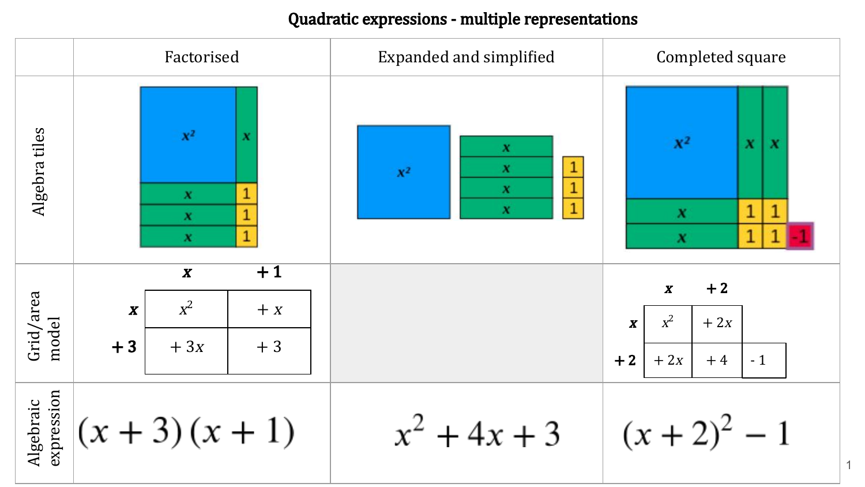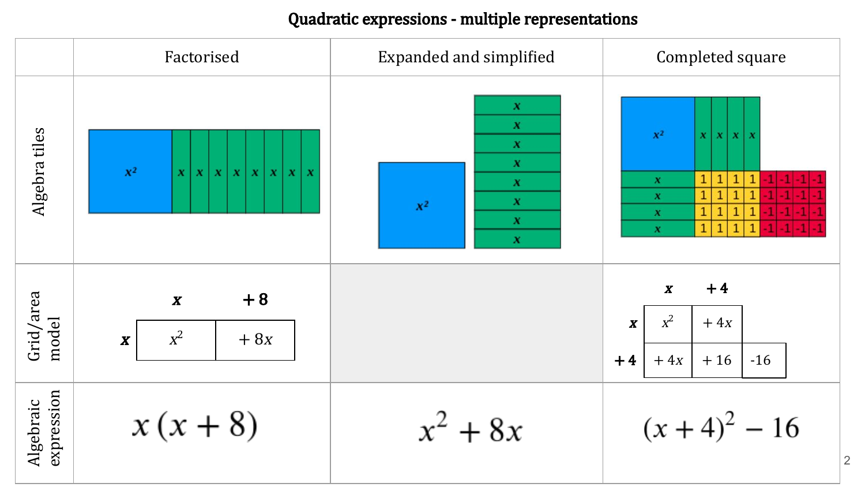|                         | Factorised                                                  | <b>Expanded and simplified</b>                                                                                                              | Completed square                                                                                                                                                                                                                           |
|-------------------------|-------------------------------------------------------------|---------------------------------------------------------------------------------------------------------------------------------------------|--------------------------------------------------------------------------------------------------------------------------------------------------------------------------------------------------------------------------------------------|
| Algebra tiles           | $\mathbb{X}^2$<br>x   x   x   x   x   x   x<br>$\mathbf{x}$ | $\pmb{X}$<br>$\pmb{X}$<br>$\boldsymbol{x}$<br>$\pmb{X}$<br>$\boldsymbol{X}$<br>$\pmb{X}$<br>$\mathbf{X}^2$<br>$\boldsymbol{x}$<br>$\pmb{X}$ | $\mathbf{X}^2$<br>$\pmb{\chi}$<br>$\boldsymbol{x}$<br>$X$ $X$<br>$\mathbf 1$<br>$\mathbf 1$<br>$\mathbf{1}$<br>$1\,$<br>$\pmb{X}$<br>$\mathbf{1}$<br>1<br>$\mathbf{1}$<br>$\pmb{\chi}$<br>$\mathbf{1}$<br>$\pmb{\chi}$<br>$\boldsymbol{x}$ |
| Grid/area<br>model      | $+8$<br>$\pmb{X}$<br>$x^2$<br>$+8x$<br>$\pmb{X}$            |                                                                                                                                             | $+4$<br>$\boldsymbol{X}$<br>$x^2$<br>$+4x$<br>$\pmb{X}$<br>$-16$<br>$+4x$<br>$+16$<br>$+4$                                                                                                                                                 |
| expression<br>Algebraic | $x(x+8)$                                                    | $x^2 + 8x$                                                                                                                                  | $(x+4)^2 - 16$<br>$\sqrt{2}$                                                                                                                                                                                                               |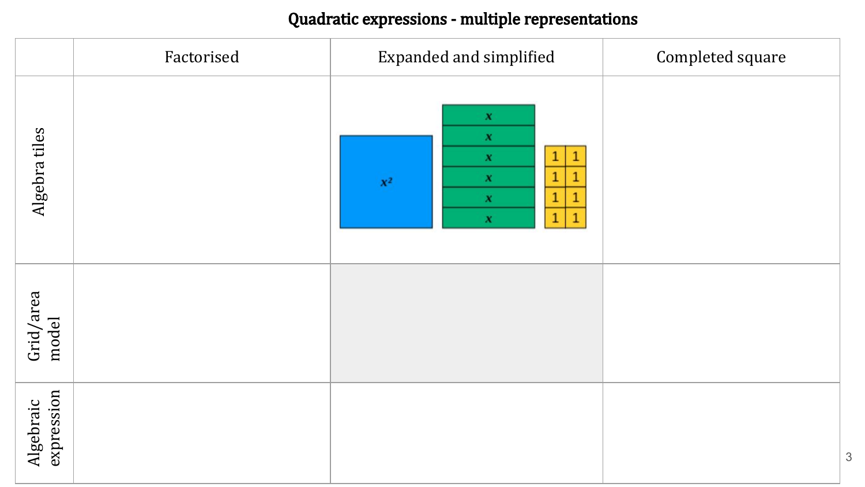|                         | Factorised | <b>Expanded and simplified</b>                                                                                                        | Completed square |
|-------------------------|------------|---------------------------------------------------------------------------------------------------------------------------------------|------------------|
| Algebra tiles           |            | $\pmb{\chi}$<br>$\pmb{X}$<br>1<br>$\pmb{X}$<br>$\pmb{X}$<br>$\mathbf{X}^2$<br>1<br>$\pmb{X}$<br>$\mathbf{1}$<br>$1\,$<br>$\pmb{\chi}$ |                  |
| Grid/area<br>model      |            |                                                                                                                                       |                  |
| expression<br>Algebraic |            |                                                                                                                                       | $\sqrt{3}$       |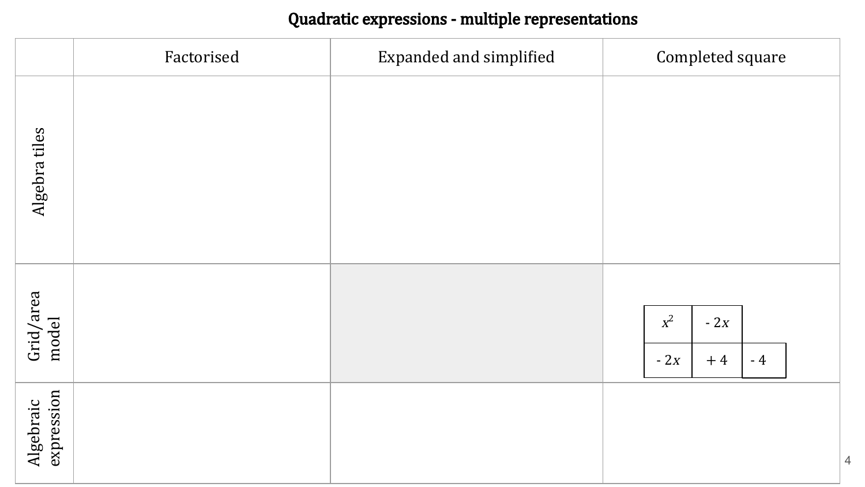|                         | Factorised | <b>Expanded and simplified</b> | Completed square                        |
|-------------------------|------------|--------------------------------|-----------------------------------------|
| Algebra tiles           |            |                                |                                         |
| Grid/area<br>model      |            |                                | $x^2$<br>$-2x$<br>$-2x$<br>$-4$<br>$+4$ |
| expression<br>Algebraic |            |                                |                                         |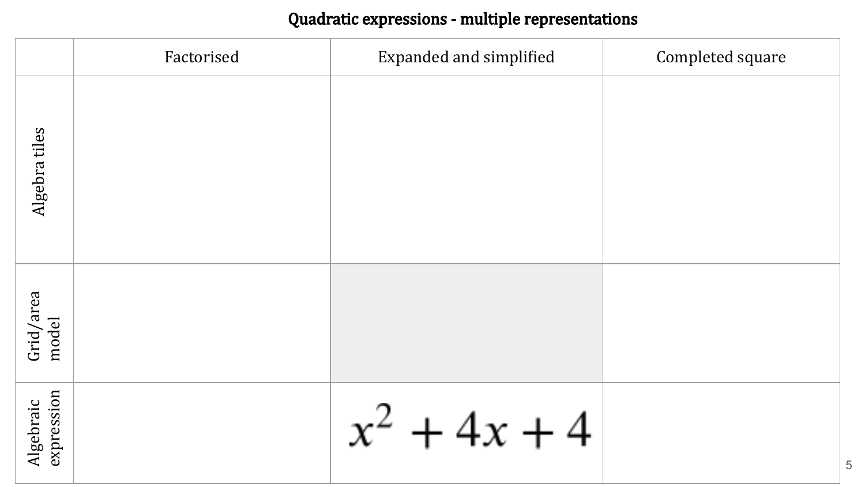|                         | Factorised | <b>Expanded and simplified</b> | Completed square |
|-------------------------|------------|--------------------------------|------------------|
| Algebra tiles           |            |                                |                  |
| Grid/area<br>model      |            |                                |                  |
| expression<br>Algebraic |            | $x^2 + 4x + 4$                 |                  |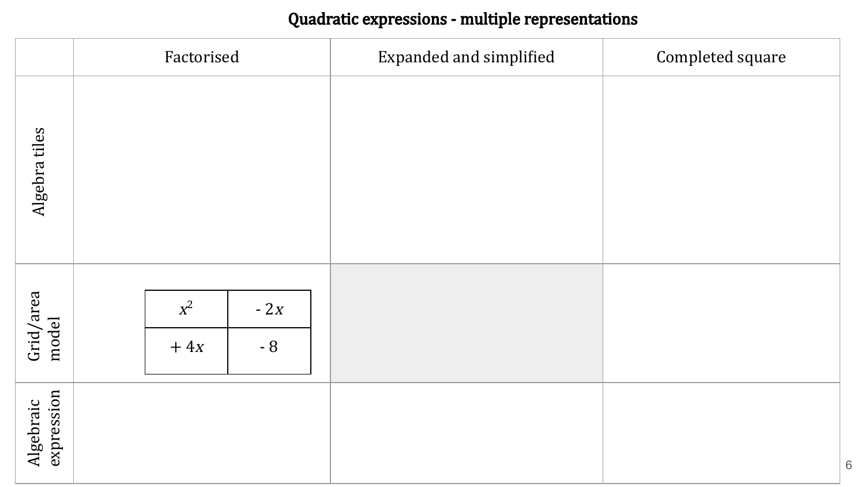|                         | Factorised                                 | <b>Expanded and simplified</b> | Completed square |
|-------------------------|--------------------------------------------|--------------------------------|------------------|
| Algebra tiles           |                                            |                                |                  |
| Grid/area<br>model      | $x^2$<br>- $2x$<br>$\mbox{-}\, 8$<br>$+4x$ |                                |                  |
| expression<br>Algebraic |                                            |                                |                  |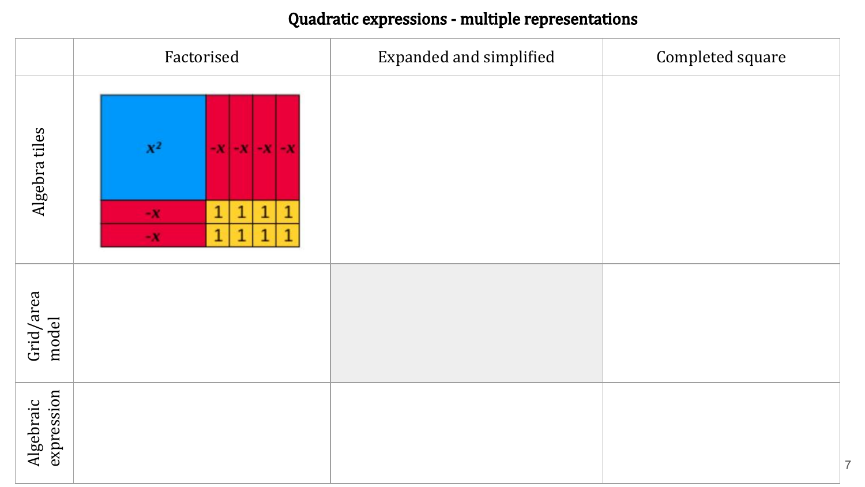|                         | Factorised                                                                                                                                    | <b>Expanded and simplified</b> | Completed square |
|-------------------------|-----------------------------------------------------------------------------------------------------------------------------------------------|--------------------------------|------------------|
| Algebra tiles           | $\mathbf{X}^2$<br>$-X$ $-X$ $-X$ $-X$<br>$\mathbf 1$<br>$\overline{1}$<br>$\mathbf{1}$<br>1<br>$-{\bf X}$<br>$\overline{1}$<br>1<br>1<br>$-X$ |                                |                  |
| Grid/area<br>model      |                                                                                                                                               |                                |                  |
| expression<br>Algebraic |                                                                                                                                               |                                | $\overline{7}$   |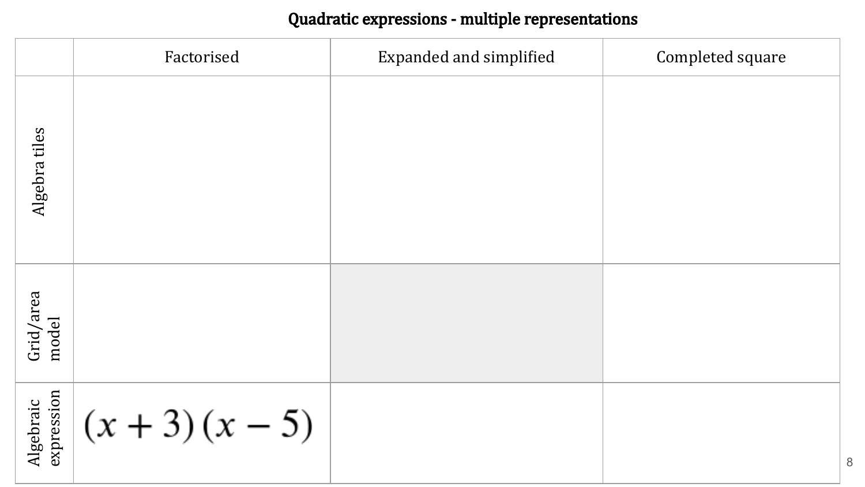|                         | Factorised       | <b>Expanded and simplified</b> | Completed square |
|-------------------------|------------------|--------------------------------|------------------|
| Algebra tiles           |                  |                                |                  |
| Grid/area<br>model      |                  |                                |                  |
| expression<br>Algebraic | $(x + 3)(x - 5)$ |                                |                  |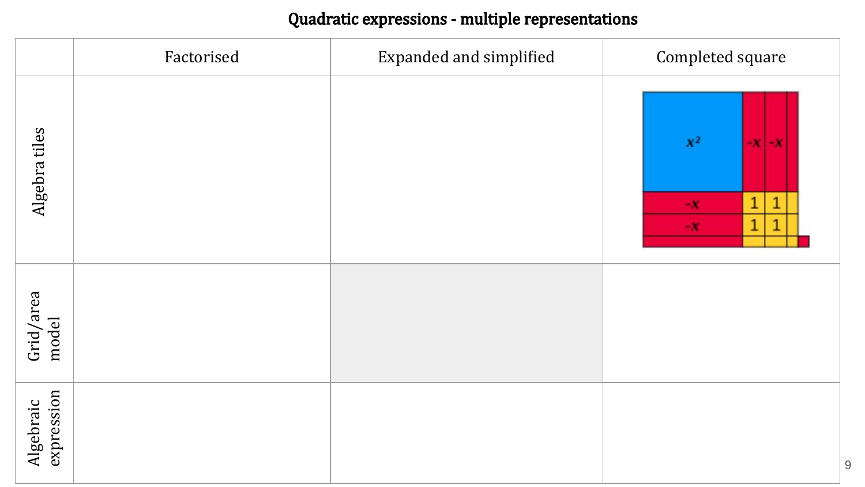|                         | Factorised | <b>Expanded and simplified</b> | Completed square                                                                                             |
|-------------------------|------------|--------------------------------|--------------------------------------------------------------------------------------------------------------|
| Algebra tiles           |            |                                | $\mathbb{X}^2$<br>$-X$ $-X$<br>$\mathbf 1$<br>$\mathbf{1}$<br>$-\mathbf{X}$<br>$\mathbf{1}$<br>$\mathbf{-X}$ |
| Grid/area<br>model      |            |                                |                                                                                                              |
| expression<br>Algebraic |            |                                | $\boldsymbol{9}$                                                                                             |